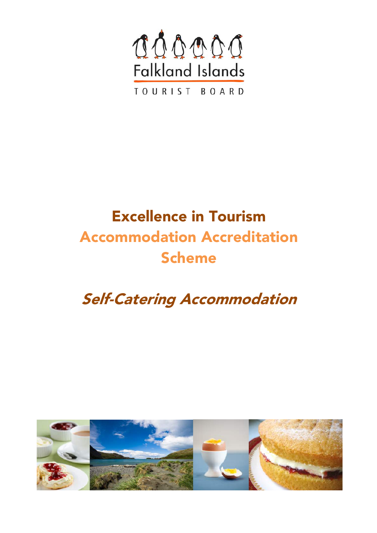

# Excellence in Tourism Accommodation Accreditation Scheme

# Self-Catering Accommodation

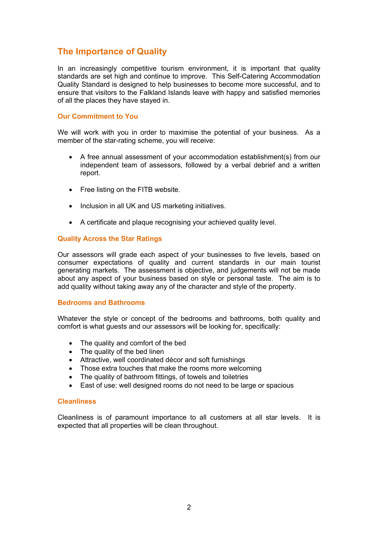# **The Importance of Quality**

In an increasingly competitive tourism environment, it is important that quality standards are set high and continue to improve. This Self-Catering Accommodation Quality Standard is designed to help businesses to become more successful, and to ensure that visitors to the Falkland Islands leave with happy and satisfied memories of all the places they have stayed in.

#### **Our Commitment to You**

We will work with you in order to maximise the potential of your business. As a member of the star-rating scheme, you will receive:

- A free annual assessment of your accommodation establishment(s) from our independent team of assessors, followed by a verbal debrief and a written report.
- Free listing on the FITB website.
- Inclusion in all UK and US marketing initiatives.
- A certificate and plaque recognising your achieved quality level.

#### **Quality Across the Star Ratings**

Our assessors will grade each aspect of your businesses to five levels, based on consumer expectations of quality and current standards in our main tourist generating markets. The assessment is objective, and judgements will not be made about any aspect of your business based on style or personal taste. The aim is to add quality without taking away any of the character and style of the property.

#### **Bedrooms and Bathrooms**

Whatever the style or concept of the bedrooms and bathrooms, both quality and comfort is what guests and our assessors will be looking for, specifically:

- The quality and comfort of the bed
- The quality of the bed linen
- Attractive, well coordinated décor and soft furnishings
- Those extra touches that make the rooms more welcoming
- The quality of bathroom fittings, of towels and toiletries
- East of use: well designed rooms do not need to be large or spacious

#### **Cleanliness**

Cleanliness is of paramount importance to all customers at all star levels. It is expected that all properties will be clean throughout.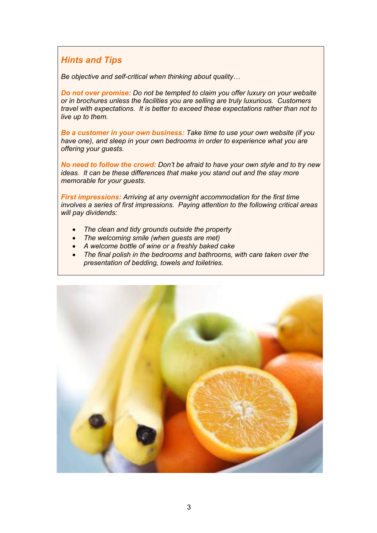### *Hints and Tips*

*Be objective and self-critical when thinking about quality…*

*Do not over promise: Do not be tempted to claim you offer luxury on your website or in brochures unless the facilities you are selling are truly luxurious. Customers travel with expectations. It is better to exceed these expectations rather than not to live up to them.*

*Be a customer in your own business: Take time to use your own website (if you have one), and sleep in your own bedrooms in order to experience what you are offering your guests.*

*No need to follow the crowd: Don't be afraid to have your own style and to try new ideas. It can be these differences that make you stand out and the stay more memorable for your guests.*

*First impressions: Arriving at any overnight accommodation for the first time involves a series of first impressions. Paying attention to the following critical areas will pay dividends:*

- *The clean and tidy grounds outside the property*
- *The welcoming smile (when guests are met)*
- *A welcome bottle of wine or a freshly baked cake*
- *The final polish in the bedrooms and bathrooms, with care taken over the presentation of bedding, towels and toiletries.*

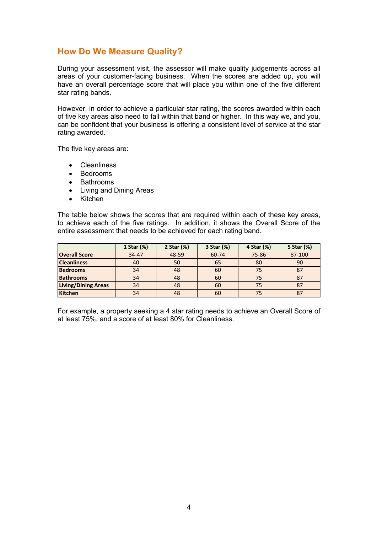# **How Do We Measure Quality?**

During your assessment visit, the assessor will make quality judgements across all areas of your customer-facing business. When the scores are added up, you will have an overall percentage score that will place you within one of the five different star rating bands.

However, in order to achieve a particular star rating, the scores awarded within each of five key areas also need to fall within that band or higher. In this way we, and you, can be confident that your business is offering a consistent level of service at the star rating awarded.

The five key areas are:

- Cleanliness
- Bedrooms
- Bathrooms
- Living and Dining Areas
- Kitchen

The table below shows the scores that are required within each of these key areas, to achieve each of the five ratings. In addition, it shows the Overall Score of the entire assessment that needs to be achieved for each rating band.

|                            | 1 Star (%) | 2 Star (%) | 3 Star (%) | 4 Star (%) | 5 Star (%) |
|----------------------------|------------|------------|------------|------------|------------|
| <b>Overall Score</b>       | $34 - 47$  | 48-59      | 60-74      | 75-86      | 87-100     |
| <b>Cleanliness</b>         | 40         | 50         | 65         | 80         | 90         |
| <b>Bedrooms</b>            | 34         | 48         | 60         | 75         | 87         |
| <b>Bathrooms</b>           | 34         | 48         | 60         | 75         | 87         |
| <b>Living/Dining Areas</b> | 34         | 48         | 60         | 75         | 87         |
| Kitchen                    | 34         | 48         | 60         | 75         | 87         |

For example, a property seeking a 4 star rating needs to achieve an Overall Score of at least 75%, and a score of at least 80% for Cleanliness.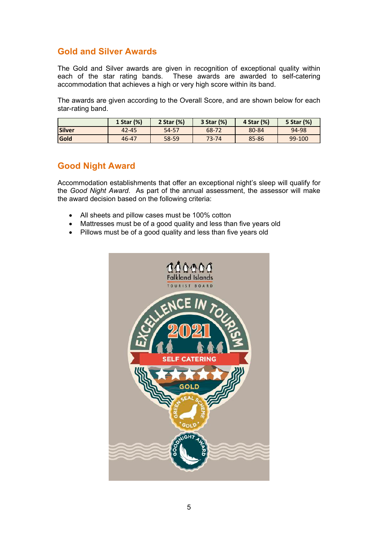### **Gold and Silver Awards**

The Gold and Silver awards are given in recognition of exceptional quality within each of the star rating bands. These awards are awarded to self-catering accommodation that achieves a high or very high score within its band.

The awards are given according to the Overall Score, and are shown below for each star-rating band.

|        | 1 Star (%) | 2 Star (%) | 3 Star (%) | 4 Star (%) | 5 Star (%) |
|--------|------------|------------|------------|------------|------------|
| Silver | $42 - 45$  | 54-57      | 68-72      | 80-84      | 94-98      |
| Gold   | 46-47      | 58-59      | $73 - 74$  | 85-86      | 99-100     |

### **Good Night Award**

Accommodation establishments that offer an exceptional night's sleep will qualify for the *Good Night Award*. As part of the annual assessment, the assessor will make the award decision based on the following criteria:

- All sheets and pillow cases must be 100% cotton
- Mattresses must be of a good quality and less than five years old
- Pillows must be of a good quality and less than five years old

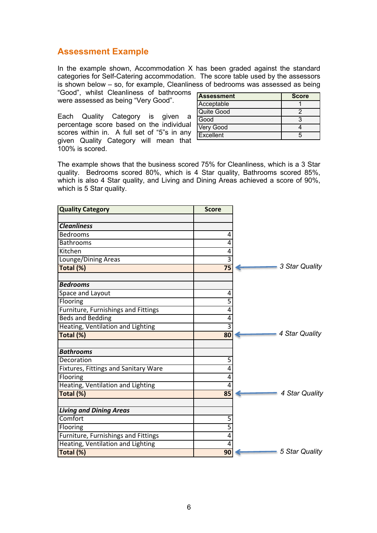### **Assessment Example**

In the example shown, Accommodation X has been graded against the standard categories for Self-Catering accommodation. The score table used by the assessors is shown below – so, for example, Cleanliness of bedrooms was assessed as being

"Good", whilst Cleanliness of bathrooms were assessed as being "Very Good".

Each Quality Category is given a percentage score based on the individual scores within in. A full set of "5"s in any given Quality Category will mean that 100% is scored.

| Assessment | <b>Score</b> |
|------------|--------------|
| Acceptable |              |
| Quite Good |              |
| Good       | 3            |
| Very Good  |              |
| Excellent  |              |

The example shows that the business scored 75% for Cleanliness, which is a 3 Star quality. Bedrooms scored 80%, which is 4 Star quality, Bathrooms scored 85%, which is also 4 Star quality, and Living and Dining Areas achieved a score of 90%, which is 5 Star quality.

| <b>Quality Category</b>              | <b>Score</b>              |                |
|--------------------------------------|---------------------------|----------------|
| <b>Cleanliness</b>                   |                           |                |
| <b>Bedrooms</b>                      | 4                         |                |
| <b>Bathrooms</b>                     | 4                         |                |
| Kitchen                              | 4                         |                |
| Lounge/Dining Areas                  | $\overline{3}$            |                |
| Total (%)                            | $\overline{75}$           | 3 Star Quality |
| <b>Bedrooms</b>                      |                           |                |
| Space and Layout                     | 4                         |                |
| Flooring                             | 5                         |                |
| Furniture, Furnishings and Fittings  | 4                         |                |
| <b>Beds and Bedding</b>              | 4                         |                |
| Heating, Ventilation and Lighting    | $\overline{\overline{3}}$ |                |
| Total (%)                            | 80                        | 4 Star Quality |
| <b>Bathrooms</b>                     |                           |                |
| Decoration                           | 5                         |                |
| Fixtures, Fittings and Sanitary Ware | 4                         |                |
| Flooring                             | 4                         |                |
| Heating, Ventilation and Lighting    | 4                         |                |
| Total (%)                            | 85                        | 4 Star Quality |
| <b>Living and Dining Areas</b>       |                           |                |
| Comfort                              | 5                         |                |
| Flooring                             | $\overline{5}$            |                |
| Furniture, Furnishings and Fittings  | 4                         |                |
| Heating, Ventilation and Lighting    | 4                         |                |
| Total (%)                            | 90                        | 5 Star Quality |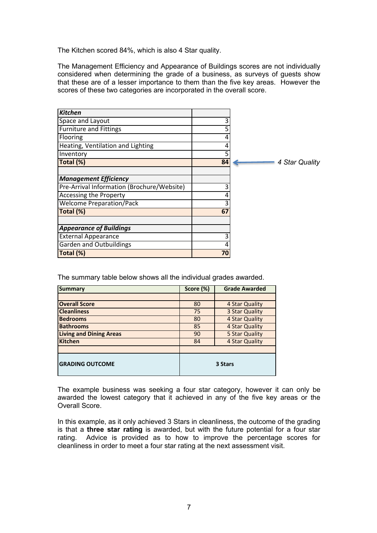The Kitchen scored 84%, which is also 4 Star quality.

The Management Efficiency and Appearance of Buildings scores are not individually considered when determining the grade of a business, as surveys of guests show that these are of a lesser importance to them than the five key areas. However the scores of these two categories are incorporated in the overall score.

| <b>Kitchen</b>                             |    |                |
|--------------------------------------------|----|----------------|
| Space and Layout                           | 3  |                |
| <b>Furniture and Fittings</b>              |    |                |
| Flooring                                   | 4  |                |
| Heating, Ventilation and Lighting          |    |                |
| Inventory                                  | 5  |                |
| Total (%)                                  | 84 | 4 Star Quality |
|                                            |    |                |
| <b>Management Efficiency</b>               |    |                |
| Pre-Arrival Information (Brochure/Website) |    |                |
| Accessing the Property                     |    |                |
| <b>Welcome Preparation/Pack</b>            |    |                |
| Total (%)                                  | 67 |                |
|                                            |    |                |
| <b>Appearance of Buildings</b>             |    |                |
| <b>External Appearance</b>                 |    |                |
| <b>Garden and Outbuildings</b>             |    |                |
| Total (%)                                  | 70 |                |

The summary table below shows all the individual grades awarded.

| <b>Summary</b>                 | Score (%) | <b>Grade Awarded</b> |
|--------------------------------|-----------|----------------------|
|                                |           |                      |
| <b>Overall Score</b>           | 80        | 4 Star Quality       |
| <b>Cleanliness</b>             | 75        | 3 Star Quality       |
| <b>Bedrooms</b>                | 80        | 4 Star Quality       |
| <b>Bathrooms</b>               | 85        | 4 Star Quality       |
| <b>Living and Dining Areas</b> | 90        | 5 Star Quality       |
| <b>Kitchen</b>                 | 84        | 4 Star Quality       |
|                                |           |                      |
| <b>GRADING OUTCOME</b>         | 3 Stars   |                      |

The example business was seeking a four star category, however it can only be awarded the lowest category that it achieved in any of the five key areas or the Overall Score.

In this example, as it only achieved 3 Stars in cleanliness, the outcome of the grading is that a **three star rating** is awarded, but with the future potential for a four star rating. Advice is provided as to how to improve the percentage scores for cleanliness in order to meet a four star rating at the next assessment visit.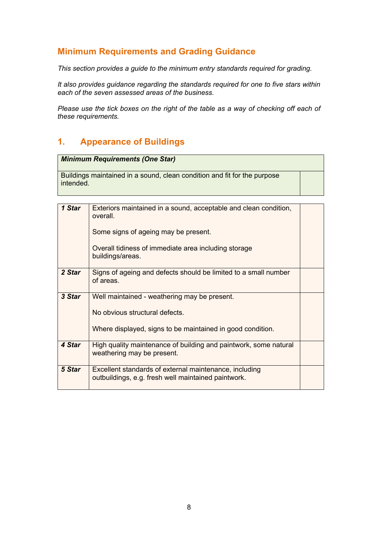# **Minimum Requirements and Grading Guidance**

*This section provides a guide to the minimum entry standards required for grading.* 

*It also provides guidance regarding the standards required for one to five stars within each of the seven assessed areas of the business.*

*Please use the tick boxes on the right of the table as a way of checking off each of these requirements.*

# **1. Appearance of Buildings**

| <b>Minimum Requirements (One Star)</b> |
|----------------------------------------|
|----------------------------------------|

Buildings maintained in a sound, clean condition and fit for the purpose intended.

| 1 Star | Exteriors maintained in a sound, acceptable and clean condition,<br>overall.                                  |  |
|--------|---------------------------------------------------------------------------------------------------------------|--|
|        | Some signs of ageing may be present.                                                                          |  |
|        | Overall tidiness of immediate area including storage<br>buildings/areas.                                      |  |
| 2 Star | Signs of ageing and defects should be limited to a small number<br>of areas.                                  |  |
| 3 Star | Well maintained - weathering may be present.                                                                  |  |
|        | No obvious structural defects.                                                                                |  |
|        | Where displayed, signs to be maintained in good condition.                                                    |  |
| 4 Star | High quality maintenance of building and paintwork, some natural<br>weathering may be present.                |  |
| 5 Star | Excellent standards of external maintenance, including<br>outbuildings, e.g. fresh well maintained paintwork. |  |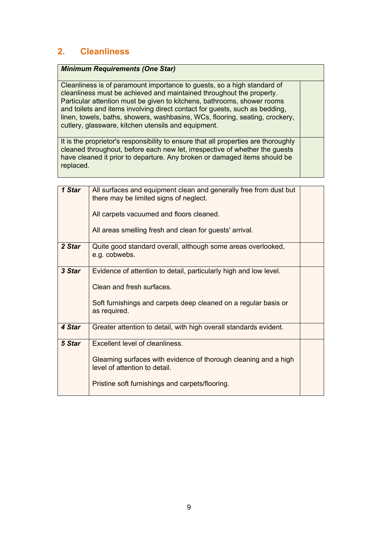# **2. Cleanliness**

#### *Minimum Requirements (One Star)*

Cleanliness is of paramount importance to guests, so a high standard of cleanliness must be achieved and maintained throughout the property. Particular attention must be given to kitchens, bathrooms, shower rooms and toilets and items involving direct contact for guests, such as bedding, linen, towels, baths, showers, washbasins, WCs, flooring, seating, crockery, cutlery, glassware, kitchen utensils and equipment.

It is the proprietor's responsibility to ensure that all properties are thoroughly cleaned throughout, before each new let, irrespective of whether the guests have cleaned it prior to departure. Any broken or damaged items should be replaced.

| 1 Star | All surfaces and equipment clean and generally free from dust but<br>there may be limited signs of neglect. |  |
|--------|-------------------------------------------------------------------------------------------------------------|--|
|        | All carpets vacuumed and floors cleaned.                                                                    |  |
|        | All areas smelling fresh and clean for guests' arrival.                                                     |  |
| 2 Star | Quite good standard overall, although some areas overlooked,<br>e.g. cobwebs.                               |  |
| 3 Star | Evidence of attention to detail, particularly high and low level.                                           |  |
|        | Clean and fresh surfaces.                                                                                   |  |
|        | Soft furnishings and carpets deep cleaned on a regular basis or<br>as required.                             |  |
| 4 Star | Greater attention to detail, with high overall standards evident.                                           |  |
| 5 Star | Excellent level of cleanliness.                                                                             |  |
|        | Gleaming surfaces with evidence of thorough cleaning and a high<br>level of attention to detail.            |  |
|        | Pristine soft furnishings and carpets/flooring.                                                             |  |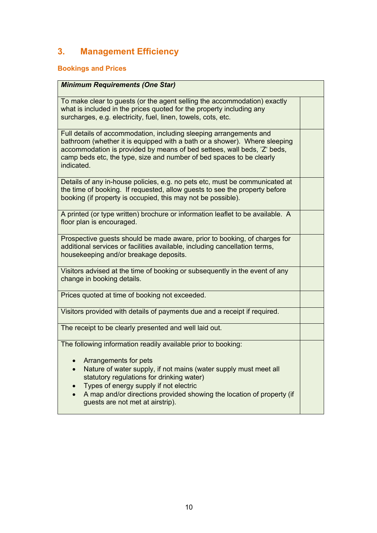# **3. Management Efficiency**

# **Bookings and Prices**

| <b>Minimum Requirements (One Star)</b>                                                                                                                                                                                                                                                                                                                         |  |
|----------------------------------------------------------------------------------------------------------------------------------------------------------------------------------------------------------------------------------------------------------------------------------------------------------------------------------------------------------------|--|
| To make clear to guests (or the agent selling the accommodation) exactly<br>what is included in the prices quoted for the property including any<br>surcharges, e.g. electricity, fuel, linen, towels, cots, etc.                                                                                                                                              |  |
| Full details of accommodation, including sleeping arrangements and<br>bathroom (whether it is equipped with a bath or a shower). Where sleeping<br>accommodation is provided by means of bed settees, wall beds, 'Z' beds,<br>camp beds etc, the type, size and number of bed spaces to be clearly<br>indicated.                                               |  |
| Details of any in-house policies, e.g. no pets etc, must be communicated at<br>the time of booking. If requested, allow guests to see the property before<br>booking (if property is occupied, this may not be possible).                                                                                                                                      |  |
| A printed (or type written) brochure or information leaflet to be available. A<br>floor plan is encouraged.                                                                                                                                                                                                                                                    |  |
| Prospective guests should be made aware, prior to booking, of charges for<br>additional services or facilities available, including cancellation terms,<br>housekeeping and/or breakage deposits.                                                                                                                                                              |  |
| Visitors advised at the time of booking or subsequently in the event of any<br>change in booking details.                                                                                                                                                                                                                                                      |  |
| Prices quoted at time of booking not exceeded.                                                                                                                                                                                                                                                                                                                 |  |
| Visitors provided with details of payments due and a receipt if required.                                                                                                                                                                                                                                                                                      |  |
| The receipt to be clearly presented and well laid out.                                                                                                                                                                                                                                                                                                         |  |
| The following information readily available prior to booking:<br>Arrangements for pets<br>Nature of water supply, if not mains (water supply must meet all<br>statutory regulations for drinking water)<br>Types of energy supply if not electric<br>A map and/or directions provided showing the location of property (if<br>guests are not met at airstrip). |  |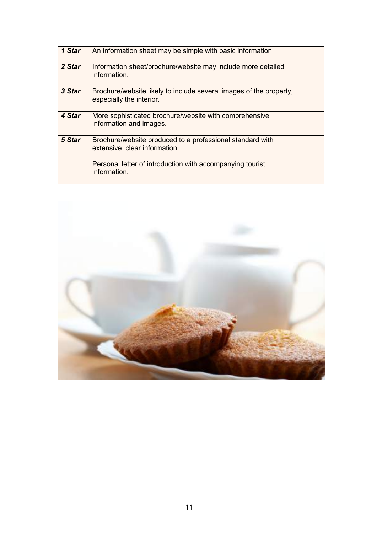| 1 Star | An information sheet may be simple with basic information.                                                                                                              |  |
|--------|-------------------------------------------------------------------------------------------------------------------------------------------------------------------------|--|
| 2 Star | Information sheet/brochure/website may include more detailed<br>information.                                                                                            |  |
| 3 Star | Brochure/website likely to include several images of the property,<br>especially the interior.                                                                          |  |
| 4 Star | More sophisticated brochure/website with comprehensive<br>information and images.                                                                                       |  |
| 5 Star | Brochure/website produced to a professional standard with<br>extensive, clear information.<br>Personal letter of introduction with accompanying tourist<br>information. |  |

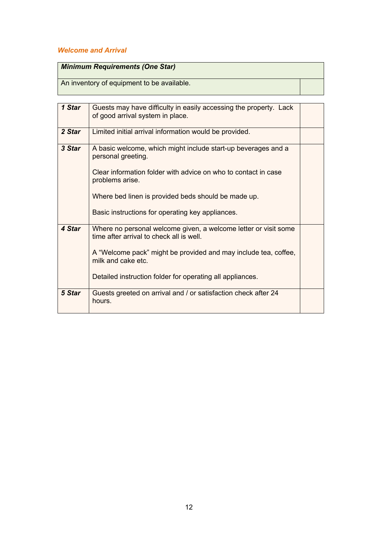### *Welcome and Arrival*

| Minimum Requirements (One Star)            |  |
|--------------------------------------------|--|
| An inventory of equipment to be available. |  |

| 1 Star | Guests may have difficulty in easily accessing the property. Lack<br>of good arrival system in place.       |  |
|--------|-------------------------------------------------------------------------------------------------------------|--|
| 2 Star | Limited initial arrival information would be provided.                                                      |  |
| 3 Star | A basic welcome, which might include start-up beverages and a<br>personal greeting.                         |  |
|        | Clear information folder with advice on who to contact in case<br>problems arise.                           |  |
|        | Where bed linen is provided beds should be made up.                                                         |  |
|        | Basic instructions for operating key appliances.                                                            |  |
| 4 Star | Where no personal welcome given, a welcome letter or visit some<br>time after arrival to check all is well. |  |
|        | A "Welcome pack" might be provided and may include tea, coffee,<br>milk and cake etc.                       |  |
|        | Detailed instruction folder for operating all appliances.                                                   |  |
| 5 Star | Guests greeted on arrival and / or satisfaction check after 24<br>hours.                                    |  |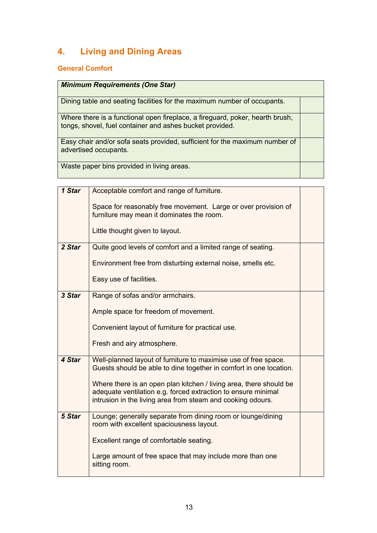# **4. Living and Dining Areas**

# **General Comfort**

| <b>Minimum Requirements (One Star)</b>                                                                                                    |  |
|-------------------------------------------------------------------------------------------------------------------------------------------|--|
| Dining table and seating facilities for the maximum number of occupants.                                                                  |  |
| Where there is a functional open fireplace, a fireguard, poker, hearth brush,<br>tongs, shovel, fuel container and ashes bucket provided. |  |
| Easy chair and/or sofa seats provided, sufficient for the maximum number of<br>advertised occupants.                                      |  |
| Waste paper bins provided in living areas.                                                                                                |  |

| 1 Star | Acceptable comfort and range of furniture.                                                                                            |  |
|--------|---------------------------------------------------------------------------------------------------------------------------------------|--|
|        | Space for reasonably free movement. Large or over provision of<br>furniture may mean it dominates the room.                           |  |
|        |                                                                                                                                       |  |
|        | Little thought given to layout.                                                                                                       |  |
| 2 Star | Quite good levels of comfort and a limited range of seating.                                                                          |  |
|        | Environment free from disturbing external noise, smells etc.                                                                          |  |
|        | Easy use of facilities.                                                                                                               |  |
| 3 Star | Range of sofas and/or armchairs.                                                                                                      |  |
|        | Ample space for freedom of movement.                                                                                                  |  |
|        | Convenient layout of furniture for practical use.                                                                                     |  |
|        | Fresh and airy atmosphere.                                                                                                            |  |
| 4 Star | Well-planned layout of furniture to maximise use of free space.<br>Guests should be able to dine together in comfort in one location. |  |
|        | Where there is an open plan kitchen / living area, there should be                                                                    |  |
|        | adequate ventilation e.g. forced extraction to ensure minimal                                                                         |  |
|        | intrusion in the living area from steam and cooking odours.                                                                           |  |
| 5 Star | Lounge; generally separate from dining room or lounge/dining<br>room with excellent spaciousness layout.                              |  |
|        | Excellent range of comfortable seating.                                                                                               |  |
|        | Large amount of free space that may include more than one<br>sitting room.                                                            |  |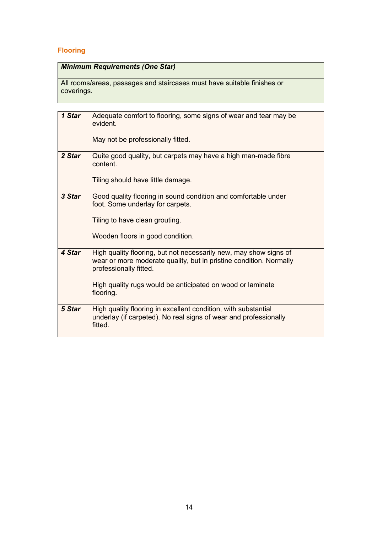# **Flooring**

| <b>Minimum Requirements (One Star)</b> |  |
|----------------------------------------|--|
|----------------------------------------|--|

All rooms/areas, passages and staircases must have suitable finishes or coverings.

| 1 Star | Adequate comfort to flooring, some signs of wear and tear may be<br>evident.<br>May not be professionally fitted.                                                                                                                            |  |
|--------|----------------------------------------------------------------------------------------------------------------------------------------------------------------------------------------------------------------------------------------------|--|
| 2 Star | Quite good quality, but carpets may have a high man-made fibre<br>content.<br>Tiling should have little damage.                                                                                                                              |  |
| 3 Star | Good quality flooring in sound condition and comfortable under<br>foot. Some underlay for carpets.<br>Tiling to have clean grouting.<br>Wooden floors in good condition.                                                                     |  |
| 4 Star | High quality flooring, but not necessarily new, may show signs of<br>wear or more moderate quality, but in pristine condition. Normally<br>professionally fitted.<br>High quality rugs would be anticipated on wood or laminate<br>flooring. |  |
| 5 Star | High quality flooring in excellent condition, with substantial<br>underlay (if carpeted). No real signs of wear and professionally<br>fitted.                                                                                                |  |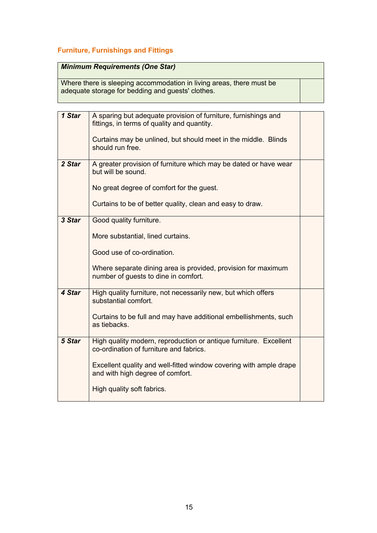### **Furniture, Furnishings and Fittings**

### *Minimum Requirements (One Star)*

Where there is sleeping accommodation in living areas, there must be adequate storage for bedding and guests' clothes.

| 1 Star | A sparing but adequate provision of furniture, furnishings and<br>fittings, in terms of quality and quantity. |  |
|--------|---------------------------------------------------------------------------------------------------------------|--|
|        | Curtains may be unlined, but should meet in the middle. Blinds<br>should run free.                            |  |
| 2 Star | A greater provision of furniture which may be dated or have wear<br>but will be sound.                        |  |
|        | No great degree of comfort for the guest.                                                                     |  |
|        | Curtains to be of better quality, clean and easy to draw.                                                     |  |
| 3 Star | Good quality furniture.                                                                                       |  |
|        | More substantial, lined curtains.                                                                             |  |
|        | Good use of co-ordination.                                                                                    |  |
|        | Where separate dining area is provided, provision for maximum<br>number of guests to dine in comfort.         |  |
| 4 Star | High quality furniture, not necessarily new, but which offers<br>substantial comfort.                         |  |
|        | Curtains to be full and may have additional embellishments, such<br>as tiebacks.                              |  |
| 5 Star | High quality modern, reproduction or antique furniture. Excellent<br>co-ordination of furniture and fabrics.  |  |
|        | Excellent quality and well-fitted window covering with ample drape<br>and with high degree of comfort.        |  |
|        | High quality soft fabrics.                                                                                    |  |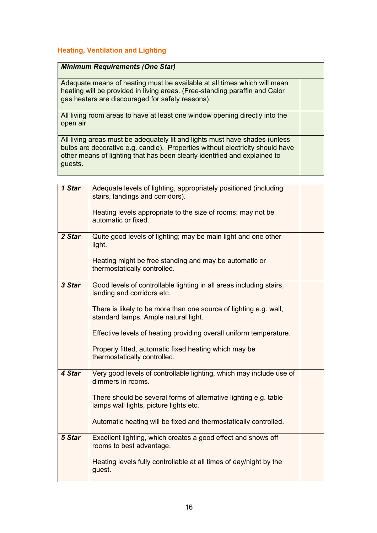#### **Heating, Ventilation and Lighting**

#### *Minimum Requirements (One Star)*

Adequate means of heating must be available at all times which will mean heating will be provided in living areas. (Free-standing paraffin and Calor gas heaters are discouraged for safety reasons).

All living room areas to have at least one window opening directly into the open air.

All living areas must be adequately lit and lights must have shades (unless bulbs are decorative e.g. candle). Properties without electricity should have other means of lighting that has been clearly identified and explained to guests.

| 1 Star | Adequate levels of lighting, appropriately positioned (including<br>stairs, landings and corridors).       |  |
|--------|------------------------------------------------------------------------------------------------------------|--|
|        | Heating levels appropriate to the size of rooms; may not be<br>automatic or fixed.                         |  |
| 2 Star | Quite good levels of lighting; may be main light and one other<br>light.                                   |  |
|        | Heating might be free standing and may be automatic or<br>thermostatically controlled.                     |  |
| 3 Star | Good levels of controllable lighting in all areas including stairs,<br>landing and corridors etc.          |  |
|        | There is likely to be more than one source of lighting e.g. wall,<br>standard lamps. Ample natural light.  |  |
|        | Effective levels of heating providing overall uniform temperature.                                         |  |
|        | Properly fitted, automatic fixed heating which may be<br>thermostatically controlled.                      |  |
| 4 Star | Very good levels of controllable lighting, which may include use of<br>dimmers in rooms.                   |  |
|        | There should be several forms of alternative lighting e.g. table<br>lamps wall lights, picture lights etc. |  |
|        | Automatic heating will be fixed and thermostatically controlled.                                           |  |
| 5 Star | Excellent lighting, which creates a good effect and shows off<br>rooms to best advantage.                  |  |
|        | Heating levels fully controllable at all times of day/night by the<br>guest.                               |  |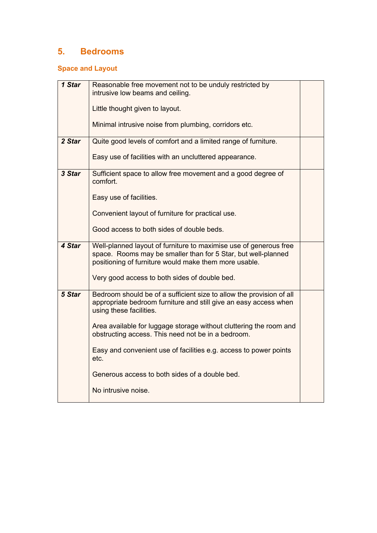# **5. Bedrooms**

### **Space and Layout**

| 1 Star | Reasonable free movement not to be unduly restricted by                                                                                                                                     |  |
|--------|---------------------------------------------------------------------------------------------------------------------------------------------------------------------------------------------|--|
|        | intrusive low beams and ceiling.                                                                                                                                                            |  |
|        | Little thought given to layout.                                                                                                                                                             |  |
|        | Minimal intrusive noise from plumbing, corridors etc.                                                                                                                                       |  |
| 2 Star | Quite good levels of comfort and a limited range of furniture.                                                                                                                              |  |
|        | Easy use of facilities with an uncluttered appearance.                                                                                                                                      |  |
| 3 Star | Sufficient space to allow free movement and a good degree of<br>comfort.                                                                                                                    |  |
|        | Easy use of facilities.                                                                                                                                                                     |  |
|        | Convenient layout of furniture for practical use.                                                                                                                                           |  |
|        | Good access to both sides of double beds.                                                                                                                                                   |  |
| 4 Star | Well-planned layout of furniture to maximise use of generous free<br>space. Rooms may be smaller than for 5 Star, but well-planned<br>positioning of furniture would make them more usable. |  |
|        | Very good access to both sides of double bed.                                                                                                                                               |  |
| 5 Star | Bedroom should be of a sufficient size to allow the provision of all<br>appropriate bedroom furniture and still give an easy access when<br>using these facilities.                         |  |
|        | Area available for luggage storage without cluttering the room and<br>obstructing access. This need not be in a bedroom.                                                                    |  |
|        | Easy and convenient use of facilities e.g. access to power points<br>etc.                                                                                                                   |  |
|        | Generous access to both sides of a double bed.                                                                                                                                              |  |
|        | No intrusive noise.                                                                                                                                                                         |  |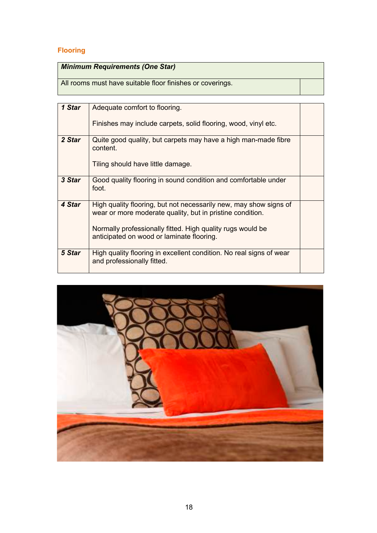# **Flooring**

| <b>Minimum Requirements (One Star)</b>                    |  |
|-----------------------------------------------------------|--|
| All rooms must have suitable floor finishes or coverings. |  |

| 1 Star | Adequate comfort to flooring.                                                                                                                                                                                                             |  |
|--------|-------------------------------------------------------------------------------------------------------------------------------------------------------------------------------------------------------------------------------------------|--|
|        | Finishes may include carpets, solid flooring, wood, vinyl etc.                                                                                                                                                                            |  |
| 2 Star | Quite good quality, but carpets may have a high man-made fibre<br>content.<br>Tiling should have little damage.                                                                                                                           |  |
| 3 Star | Good quality flooring in sound condition and comfortable under<br>foot.                                                                                                                                                                   |  |
| 4 Star | High quality flooring, but not necessarily new, may show signs of<br>wear or more moderate quality, but in pristine condition.<br>Normally professionally fitted. High quality rugs would be<br>anticipated on wood or laminate flooring. |  |
| 5 Star | High quality flooring in excellent condition. No real signs of wear<br>and professionally fitted.                                                                                                                                         |  |

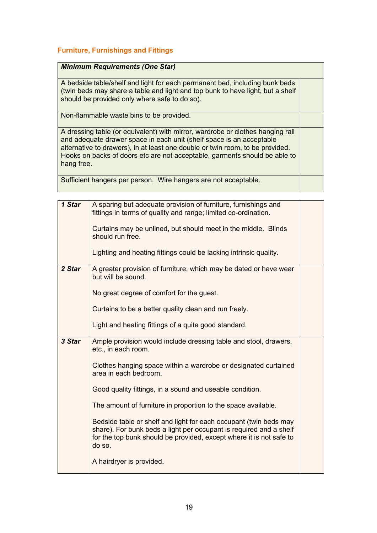#### **Furniture, Furnishings and Fittings**

#### *Minimum Requirements (One Star)*

A bedside table/shelf and light for each permanent bed, including bunk beds (twin beds may share a table and light and top bunk to have light, but a shelf should be provided only where safe to do so).

Non-flammable waste bins to be provided.

A dressing table (or equivalent) with mirror, wardrobe or clothes hanging rail and adequate drawer space in each unit (shelf space is an acceptable alternative to drawers), in at least one double or twin room, to be provided. Hooks on backs of doors etc are not acceptable, garments should be able to hang free.

Sufficient hangers per person. Wire hangers are not acceptable.

| 1 Star | A sparing but adequate provision of furniture, furnishings and<br>fittings in terms of quality and range; limited co-ordination.                                                                                         |  |
|--------|--------------------------------------------------------------------------------------------------------------------------------------------------------------------------------------------------------------------------|--|
|        | Curtains may be unlined, but should meet in the middle. Blinds<br>should run free.                                                                                                                                       |  |
|        | Lighting and heating fittings could be lacking intrinsic quality.                                                                                                                                                        |  |
| 2 Star | A greater provision of furniture, which may be dated or have wear<br>but will be sound.                                                                                                                                  |  |
|        | No great degree of comfort for the guest.                                                                                                                                                                                |  |
|        | Curtains to be a better quality clean and run freely.                                                                                                                                                                    |  |
|        | Light and heating fittings of a quite good standard.                                                                                                                                                                     |  |
| 3 Star | Ample provision would include dressing table and stool, drawers,<br>etc., in each room.                                                                                                                                  |  |
|        | Clothes hanging space within a wardrobe or designated curtained<br>area in each bedroom.                                                                                                                                 |  |
|        | Good quality fittings, in a sound and useable condition.                                                                                                                                                                 |  |
|        | The amount of furniture in proportion to the space available.                                                                                                                                                            |  |
|        | Bedside table or shelf and light for each occupant (twin beds may<br>share). For bunk beds a light per occupant is required and a shelf<br>for the top bunk should be provided, except where it is not safe to<br>do so. |  |
|        | A hairdryer is provided.                                                                                                                                                                                                 |  |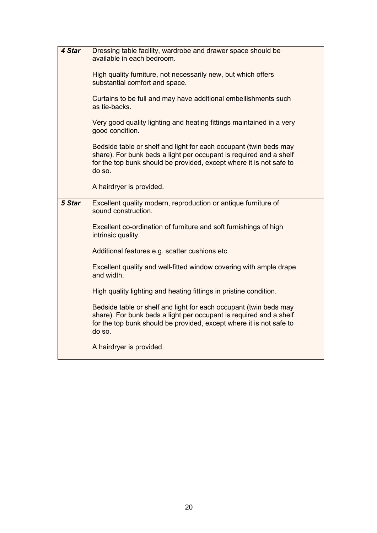| 4 Star | Dressing table facility, wardrobe and drawer space should be<br>available in each bedroom.<br>High quality furniture, not necessarily new, but which offers<br>substantial comfort and space.<br>Curtains to be full and may have additional embellishments such<br>as tie-backs. |  |
|--------|-----------------------------------------------------------------------------------------------------------------------------------------------------------------------------------------------------------------------------------------------------------------------------------|--|
|        | Very good quality lighting and heating fittings maintained in a very<br>good condition.                                                                                                                                                                                           |  |
|        | Bedside table or shelf and light for each occupant (twin beds may<br>share). For bunk beds a light per occupant is required and a shelf<br>for the top bunk should be provided, except where it is not safe to<br>do so.                                                          |  |
|        | A hairdryer is provided.                                                                                                                                                                                                                                                          |  |
| 5 Star | Excellent quality modern, reproduction or antique furniture of<br>sound construction.                                                                                                                                                                                             |  |
|        | Excellent co-ordination of furniture and soft furnishings of high<br>intrinsic quality.                                                                                                                                                                                           |  |
|        | Additional features e.g. scatter cushions etc.                                                                                                                                                                                                                                    |  |
|        | Excellent quality and well-fitted window covering with ample drape<br>and width.                                                                                                                                                                                                  |  |
|        | High quality lighting and heating fittings in pristine condition.                                                                                                                                                                                                                 |  |
|        | Bedside table or shelf and light for each occupant (twin beds may<br>share). For bunk beds a light per occupant is required and a shelf<br>for the top bunk should be provided, except where it is not safe to<br>do so.                                                          |  |
|        | A hairdryer is provided.                                                                                                                                                                                                                                                          |  |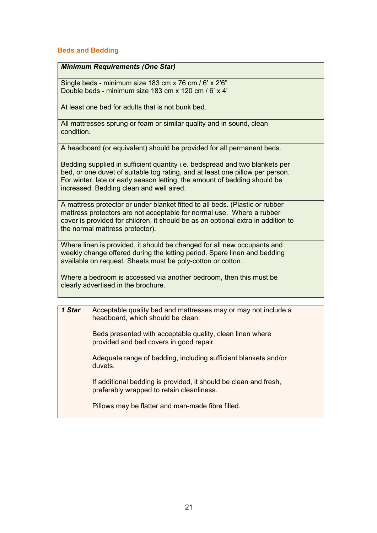### **Beds and Bedding**

| <b>Minimum Requirements (One Star)</b>                                                                                                                                                                                                                                                |  |
|---------------------------------------------------------------------------------------------------------------------------------------------------------------------------------------------------------------------------------------------------------------------------------------|--|
| Single beds - minimum size 183 cm x 76 cm / 6' x 2'6"<br>Double beds - minimum size 183 cm x 120 cm / 6' x 4'                                                                                                                                                                         |  |
| At least one bed for adults that is not bunk bed.                                                                                                                                                                                                                                     |  |
| All mattresses sprung or foam or similar quality and in sound, clean<br>condition.                                                                                                                                                                                                    |  |
| A headboard (or equivalent) should be provided for all permanent beds.                                                                                                                                                                                                                |  |
| Bedding supplied in sufficient quantity i.e. bedspread and two blankets per<br>bed, or one duvet of suitable tog rating, and at least one pillow per person.<br>For winter, late or early season letting, the amount of bedding should be<br>increased. Bedding clean and well aired. |  |
| A mattress protector or under blanket fitted to all beds. (Plastic or rubber<br>mattress protectors are not acceptable for normal use. Where a rubber<br>cover is provided for children, it should be as an optional extra in addition to<br>the normal mattress protector).          |  |
| Where linen is provided, it should be changed for all new occupants and<br>weekly change offered during the letting period. Spare linen and bedding<br>available on request. Sheets must be poly-cotton or cotton.                                                                    |  |
| Where a bedroom is accessed via another bedroom, then this must be<br>clearly advertised in the brochure.                                                                                                                                                                             |  |

| 1 Star | Acceptable quality bed and mattresses may or may not include a<br>headboard, which should be clean.           |  |
|--------|---------------------------------------------------------------------------------------------------------------|--|
|        | Beds presented with acceptable quality, clean linen where<br>provided and bed covers in good repair.          |  |
|        | Adequate range of bedding, including sufficient blankets and/or<br>duvets.                                    |  |
|        | If additional bedding is provided, it should be clean and fresh,<br>preferably wrapped to retain cleanliness. |  |
|        | Pillows may be flatter and man-made fibre filled.                                                             |  |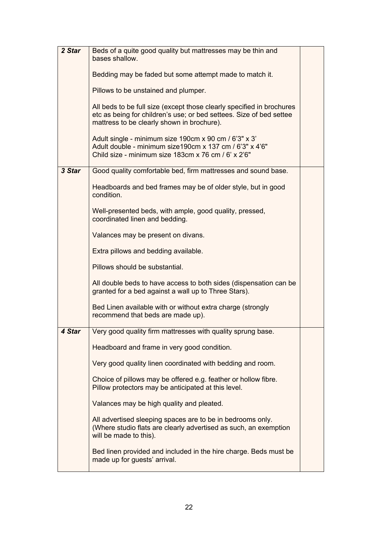| 2 Star | Beds of a quite good quality but mattresses may be thin and<br>bases shallow.                                                                                                              |  |
|--------|--------------------------------------------------------------------------------------------------------------------------------------------------------------------------------------------|--|
|        | Bedding may be faded but some attempt made to match it.                                                                                                                                    |  |
|        | Pillows to be unstained and plumper.                                                                                                                                                       |  |
|        |                                                                                                                                                                                            |  |
|        | All beds to be full size (except those clearly specified in brochures<br>etc as being for children's use; or bed settees. Size of bed settee<br>mattress to be clearly shown in brochure). |  |
|        | Adult single - minimum size 190cm x 90 cm / 6'3" x 3'<br>Adult double - minimum size190cm x 137 cm / 6'3" x 4'6"<br>Child size - minimum size 183cm x 76 cm / 6' x 2'6"                    |  |
| 3 Star | Good quality comfortable bed, firm mattresses and sound base.                                                                                                                              |  |
|        | Headboards and bed frames may be of older style, but in good<br>condition.                                                                                                                 |  |
|        | Well-presented beds, with ample, good quality, pressed,<br>coordinated linen and bedding.                                                                                                  |  |
|        | Valances may be present on divans.                                                                                                                                                         |  |
|        | Extra pillows and bedding available.                                                                                                                                                       |  |
|        | Pillows should be substantial.                                                                                                                                                             |  |
|        |                                                                                                                                                                                            |  |
|        | All double beds to have access to both sides (dispensation can be<br>granted for a bed against a wall up to Three Stars).                                                                  |  |
|        | Bed Linen available with or without extra charge (strongly<br>recommend that beds are made up).                                                                                            |  |
| 4 Star | Very good quality firm mattresses with quality sprung base.                                                                                                                                |  |
|        | Headboard and frame in very good condition.                                                                                                                                                |  |
|        | Very good quality linen coordinated with bedding and room.                                                                                                                                 |  |
|        | Choice of pillows may be offered e.g. feather or hollow fibre.<br>Pillow protectors may be anticipated at this level.                                                                      |  |
|        | Valances may be high quality and pleated.                                                                                                                                                  |  |
|        | All advertised sleeping spaces are to be in bedrooms only.<br>(Where studio flats are clearly advertised as such, an exemption<br>will be made to this).                                   |  |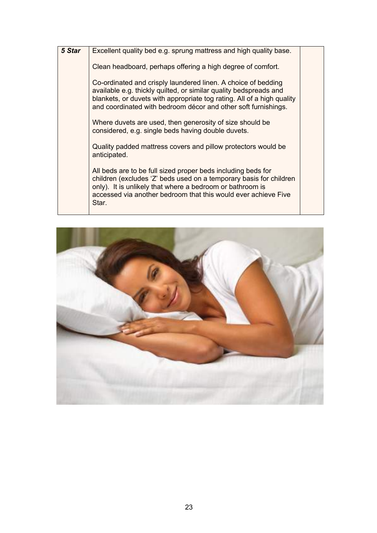| 5 Star | Excellent quality bed e.g. sprung mattress and high quality base.                                                                                                                                                                                                              |  |
|--------|--------------------------------------------------------------------------------------------------------------------------------------------------------------------------------------------------------------------------------------------------------------------------------|--|
|        | Clean headboard, perhaps offering a high degree of comfort.                                                                                                                                                                                                                    |  |
|        | Co-ordinated and crisply laundered linen. A choice of bedding<br>available e.g. thickly quilted, or similar quality bedspreads and<br>blankets, or duvets with appropriate tog rating. All of a high quality<br>and coordinated with bedroom décor and other soft furnishings. |  |
|        | Where duvets are used, then generosity of size should be<br>considered, e.g. single beds having double duvets.                                                                                                                                                                 |  |
|        | Quality padded mattress covers and pillow protectors would be<br>anticipated.                                                                                                                                                                                                  |  |
|        | All beds are to be full sized proper beds including beds for<br>children (excludes 'Z' beds used on a temporary basis for children<br>only). It is unlikely that where a bedroom or bathroom is<br>accessed via another bedroom that this would ever achieve Five<br>Star.     |  |
|        |                                                                                                                                                                                                                                                                                |  |

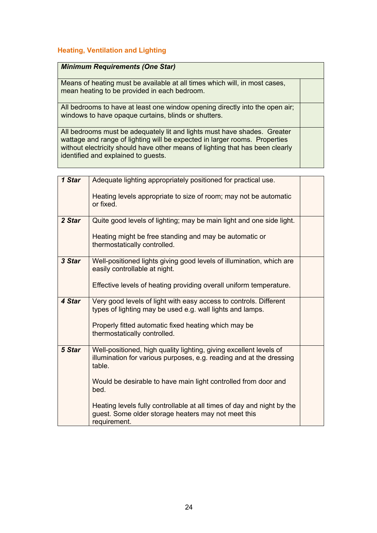#### **Heating, Ventilation and Lighting**

| <b>Minimum Requirements (One Star)</b> |
|----------------------------------------|
|----------------------------------------|

Means of heating must be available at all times which will, in most cases, mean heating to be provided in each bedroom.

All bedrooms to have at least one window opening directly into the open air; windows to have opaque curtains, blinds or shutters.

All bedrooms must be adequately lit and lights must have shades. Greater wattage and range of lighting will be expected in larger rooms. Properties without electricity should have other means of lighting that has been clearly identified and explained to guests.

| 1 Star | Adequate lighting appropriately positioned for practical use.                                                                                       |  |
|--------|-----------------------------------------------------------------------------------------------------------------------------------------------------|--|
|        | Heating levels appropriate to size of room; may not be automatic<br>or fixed.                                                                       |  |
| 2 Star | Quite good levels of lighting; may be main light and one side light.                                                                                |  |
|        | Heating might be free standing and may be automatic or<br>thermostatically controlled.                                                              |  |
| 3 Star | Well-positioned lights giving good levels of illumination, which are<br>easily controllable at night.                                               |  |
|        | Effective levels of heating providing overall uniform temperature.                                                                                  |  |
| 4 Star | Very good levels of light with easy access to controls. Different<br>types of lighting may be used e.g. wall lights and lamps.                      |  |
|        | Properly fitted automatic fixed heating which may be<br>thermostatically controlled.                                                                |  |
| 5 Star | Well-positioned, high quality lighting, giving excellent levels of<br>illumination for various purposes, e.g. reading and at the dressing<br>table. |  |
|        | Would be desirable to have main light controlled from door and<br>bed.                                                                              |  |
|        | Heating levels fully controllable at all times of day and night by the<br>guest. Some older storage heaters may not meet this<br>requirement.       |  |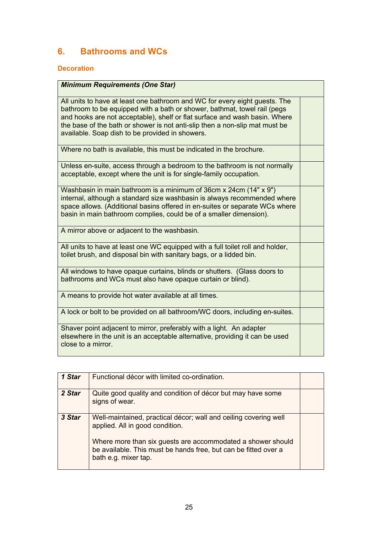# **6. Bathrooms and WCs**

#### **Decoration**

| <b>Minimum Requirements (One Star)</b>                                                                                                                                                                                                                                                                                                                                 |  |
|------------------------------------------------------------------------------------------------------------------------------------------------------------------------------------------------------------------------------------------------------------------------------------------------------------------------------------------------------------------------|--|
| All units to have at least one bathroom and WC for every eight guests. The<br>bathroom to be equipped with a bath or shower, bathmat, towel rail (pegs<br>and hooks are not acceptable), shelf or flat surface and wash basin. Where<br>the base of the bath or shower is not anti-slip then a non-slip mat must be<br>available. Soap dish to be provided in showers. |  |
| Where no bath is available, this must be indicated in the brochure.                                                                                                                                                                                                                                                                                                    |  |
| Unless en-suite, access through a bedroom to the bathroom is not normally<br>acceptable, except where the unit is for single-family occupation.                                                                                                                                                                                                                        |  |
| Washbasin in main bathroom is a minimum of 36cm x 24cm (14" x 9")<br>internal, although a standard size washbasin is always recommended where<br>space allows. (Additional basins offered in en-suites or separate WCs where<br>basin in main bathroom complies, could be of a smaller dimension).                                                                     |  |
| A mirror above or adjacent to the washbasin.                                                                                                                                                                                                                                                                                                                           |  |
| All units to have at least one WC equipped with a full toilet roll and holder,<br>toilet brush, and disposal bin with sanitary bags, or a lidded bin.                                                                                                                                                                                                                  |  |
| All windows to have opaque curtains, blinds or shutters. (Glass doors to<br>bathrooms and WCs must also have opaque curtain or blind).                                                                                                                                                                                                                                 |  |
| A means to provide hot water available at all times.                                                                                                                                                                                                                                                                                                                   |  |
| A lock or bolt to be provided on all bathroom/WC doors, including en-suites.                                                                                                                                                                                                                                                                                           |  |
| Shaver point adjacent to mirror, preferably with a light. An adapter<br>elsewhere in the unit is an acceptable alternative, providing it can be used<br>close to a mirror.                                                                                                                                                                                             |  |

| 1 Star | Functional décor with limited co-ordination.                                                                                                           |  |
|--------|--------------------------------------------------------------------------------------------------------------------------------------------------------|--|
| 2 Star | Quite good quality and condition of décor but may have some<br>signs of wear.                                                                          |  |
| 3 Star | Well-maintained, practical décor; wall and ceiling covering well<br>applied. All in good condition.                                                    |  |
|        | Where more than six guests are accommodated a shower should<br>be available. This must be hands free, but can be fitted over a<br>bath e.g. mixer tap. |  |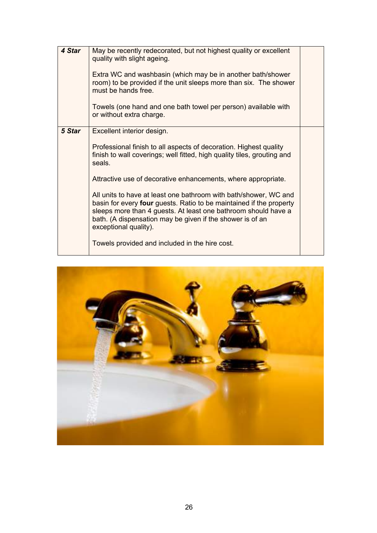| 4 Star | May be recently redecorated, but not highest quality or excellent<br>quality with slight ageing.<br>Extra WC and washbasin (which may be in another bath/shower<br>room) to be provided if the unit sleeps more than six. The shower<br>must be hands free.<br>Towels (one hand and one bath towel per person) available with<br>or without extra charge.                                                                                                                                                                                                       |  |
|--------|-----------------------------------------------------------------------------------------------------------------------------------------------------------------------------------------------------------------------------------------------------------------------------------------------------------------------------------------------------------------------------------------------------------------------------------------------------------------------------------------------------------------------------------------------------------------|--|
| 5 Star | Excellent interior design.<br>Professional finish to all aspects of decoration. Highest quality<br>finish to wall coverings; well fitted, high quality tiles, grouting and<br>seals.<br>Attractive use of decorative enhancements, where appropriate.<br>All units to have at least one bathroom with bath/shower, WC and<br>basin for every <b>four</b> guests. Ratio to be maintained if the property<br>sleeps more than 4 guests. At least one bathroom should have a<br>bath. (A dispensation may be given if the shower is of an<br>exceptional quality). |  |
|        | Towels provided and included in the hire cost.                                                                                                                                                                                                                                                                                                                                                                                                                                                                                                                  |  |

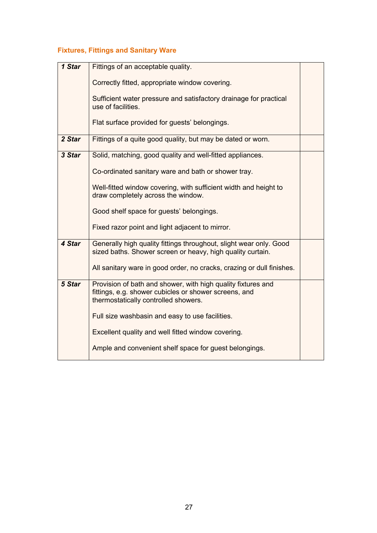# **Fixtures, Fittings and Sanitary Ware**

| 1 Star | Fittings of an acceptable quality.                                                                                                                            |  |
|--------|---------------------------------------------------------------------------------------------------------------------------------------------------------------|--|
|        | Correctly fitted, appropriate window covering.                                                                                                                |  |
|        | Sufficient water pressure and satisfactory drainage for practical<br>use of facilities.                                                                       |  |
|        | Flat surface provided for guests' belongings.                                                                                                                 |  |
| 2 Star | Fittings of a quite good quality, but may be dated or worn.                                                                                                   |  |
| 3 Star | Solid, matching, good quality and well-fitted appliances.                                                                                                     |  |
|        | Co-ordinated sanitary ware and bath or shower tray.                                                                                                           |  |
|        | Well-fitted window covering, with sufficient width and height to<br>draw completely across the window.                                                        |  |
|        | Good shelf space for guests' belongings.                                                                                                                      |  |
|        | Fixed razor point and light adjacent to mirror.                                                                                                               |  |
| 4 Star | Generally high quality fittings throughout, slight wear only. Good<br>sized baths. Shower screen or heavy, high quality curtain.                              |  |
|        | All sanitary ware in good order, no cracks, crazing or dull finishes.                                                                                         |  |
| 5 Star | Provision of bath and shower, with high quality fixtures and<br>fittings, e.g. shower cubicles or shower screens, and<br>thermostatically controlled showers. |  |
|        | Full size washbasin and easy to use facilities.                                                                                                               |  |
|        | Excellent quality and well fitted window covering.                                                                                                            |  |
|        | Ample and convenient shelf space for guest belongings.                                                                                                        |  |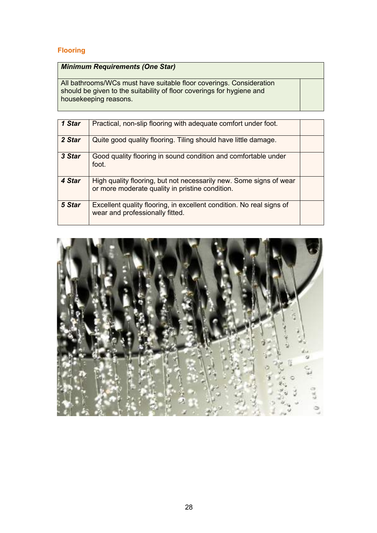### **Flooring**

### *Minimum Requirements (One Star)*

All bathrooms/WCs must have suitable floor coverings. Consideration should be given to the suitability of floor coverings for hygiene and housekeeping reasons.

| 1 Star | Practical, non-slip flooring with adequate comfort under foot.                                                        |  |
|--------|-----------------------------------------------------------------------------------------------------------------------|--|
| 2 Star | Quite good quality flooring. Tiling should have little damage.                                                        |  |
| 3 Star | Good quality flooring in sound condition and comfortable under<br>foot.                                               |  |
| 4 Star | High quality flooring, but not necessarily new. Some signs of wear<br>or more moderate quality in pristine condition. |  |
| 5 Star | Excellent quality flooring, in excellent condition. No real signs of<br>wear and professionally fitted.               |  |

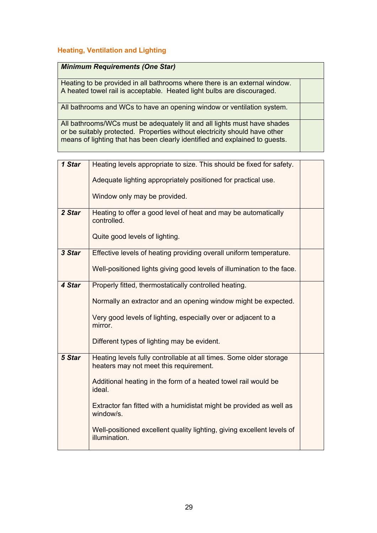#### **Heating, Ventilation and Lighting**

#### *Minimum Requirements (One Star)*

Heating to be provided in all bathrooms where there is an external window. A heated towel rail is acceptable. Heated light bulbs are discouraged.

All bathrooms and WCs to have an opening window or ventilation system.

All bathrooms/WCs must be adequately lit and all lights must have shades or be suitably protected. Properties without electricity should have other means of lighting that has been clearly identified and explained to guests.

| 1 Star | Heating levels appropriate to size. This should be fixed for safety.                                         |  |
|--------|--------------------------------------------------------------------------------------------------------------|--|
|        | Adequate lighting appropriately positioned for practical use.                                                |  |
|        | Window only may be provided.                                                                                 |  |
| 2 Star | Heating to offer a good level of heat and may be automatically<br>controlled.                                |  |
|        | Quite good levels of lighting.                                                                               |  |
| 3 Star | Effective levels of heating providing overall uniform temperature.                                           |  |
|        | Well-positioned lights giving good levels of illumination to the face.                                       |  |
| 4 Star | Properly fitted, thermostatically controlled heating.                                                        |  |
|        | Normally an extractor and an opening window might be expected.                                               |  |
|        | Very good levels of lighting, especially over or adjacent to a<br>mirror.                                    |  |
|        | Different types of lighting may be evident.                                                                  |  |
| 5 Star | Heating levels fully controllable at all times. Some older storage<br>heaters may not meet this requirement. |  |
|        | Additional heating in the form of a heated towel rail would be<br>ideal.                                     |  |
|        | Extractor fan fitted with a humidistat might be provided as well as<br>window/s.                             |  |
|        | Well-positioned excellent quality lighting, giving excellent levels of<br>illumination.                      |  |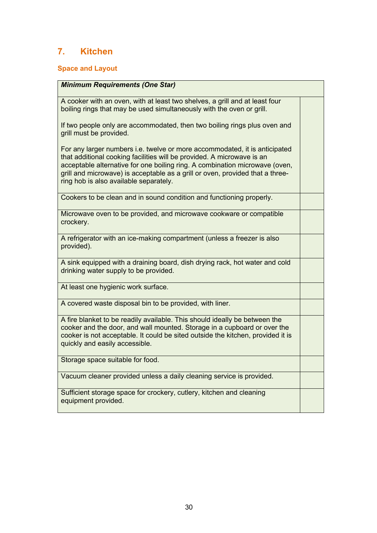# **7. Kitchen**

### **Space and Layout**

| <b>Minimum Requirements (One Star)</b>                                                                                                                                                                                                                                                                                                                         |  |
|----------------------------------------------------------------------------------------------------------------------------------------------------------------------------------------------------------------------------------------------------------------------------------------------------------------------------------------------------------------|--|
| A cooker with an oven, with at least two shelves, a grill and at least four<br>boiling rings that may be used simultaneously with the oven or grill.                                                                                                                                                                                                           |  |
| If two people only are accommodated, then two boiling rings plus oven and<br>grill must be provided.                                                                                                                                                                                                                                                           |  |
| For any larger numbers i.e. twelve or more accommodated, it is anticipated<br>that additional cooking facilities will be provided. A microwave is an<br>acceptable alternative for one boiling ring. A combination microwave (oven,<br>grill and microwave) is acceptable as a grill or oven, provided that a three-<br>ring hob is also available separately. |  |
| Cookers to be clean and in sound condition and functioning properly.                                                                                                                                                                                                                                                                                           |  |
| Microwave oven to be provided, and microwave cookware or compatible<br>crockery.                                                                                                                                                                                                                                                                               |  |
| A refrigerator with an ice-making compartment (unless a freezer is also<br>provided).                                                                                                                                                                                                                                                                          |  |
| A sink equipped with a draining board, dish drying rack, hot water and cold<br>drinking water supply to be provided.                                                                                                                                                                                                                                           |  |
| At least one hygienic work surface.                                                                                                                                                                                                                                                                                                                            |  |
| A covered waste disposal bin to be provided, with liner.                                                                                                                                                                                                                                                                                                       |  |
| A fire blanket to be readily available. This should ideally be between the<br>cooker and the door, and wall mounted. Storage in a cupboard or over the<br>cooker is not acceptable. It could be sited outside the kitchen, provided it is<br>quickly and easily accessible.                                                                                    |  |
| Storage space suitable for food.                                                                                                                                                                                                                                                                                                                               |  |
| Vacuum cleaner provided unless a daily cleaning service is provided.                                                                                                                                                                                                                                                                                           |  |
| Sufficient storage space for crockery, cutlery, kitchen and cleaning<br>equipment provided.                                                                                                                                                                                                                                                                    |  |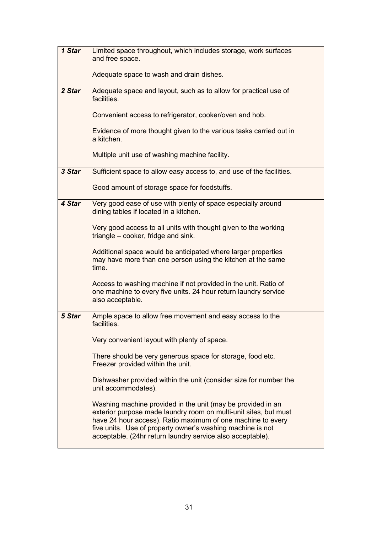| 1 Star | Limited space throughout, which includes storage, work surfaces<br>and free space.                                                                                                                                                                                                                                         |  |
|--------|----------------------------------------------------------------------------------------------------------------------------------------------------------------------------------------------------------------------------------------------------------------------------------------------------------------------------|--|
|        | Adequate space to wash and drain dishes.                                                                                                                                                                                                                                                                                   |  |
| 2 Star | Adequate space and layout, such as to allow for practical use of<br>facilities.                                                                                                                                                                                                                                            |  |
|        | Convenient access to refrigerator, cooker/oven and hob.                                                                                                                                                                                                                                                                    |  |
|        | Evidence of more thought given to the various tasks carried out in<br>a kitchen.                                                                                                                                                                                                                                           |  |
|        | Multiple unit use of washing machine facility.                                                                                                                                                                                                                                                                             |  |
| 3 Star | Sufficient space to allow easy access to, and use of the facilities.                                                                                                                                                                                                                                                       |  |
|        | Good amount of storage space for foodstuffs.                                                                                                                                                                                                                                                                               |  |
| 4 Star | Very good ease of use with plenty of space especially around<br>dining tables if located in a kitchen.                                                                                                                                                                                                                     |  |
|        | Very good access to all units with thought given to the working<br>triangle – cooker, fridge and sink.                                                                                                                                                                                                                     |  |
|        | Additional space would be anticipated where larger properties<br>may have more than one person using the kitchen at the same<br>time.                                                                                                                                                                                      |  |
|        | Access to washing machine if not provided in the unit. Ratio of<br>one machine to every five units. 24 hour return laundry service<br>also acceptable.                                                                                                                                                                     |  |
| 5 Star | Ample space to allow free movement and easy access to the<br>facilities.                                                                                                                                                                                                                                                   |  |
|        | Very convenient layout with plenty of space.                                                                                                                                                                                                                                                                               |  |
|        | There should be very generous space for storage, food etc.<br>Freezer provided within the unit.                                                                                                                                                                                                                            |  |
|        | Dishwasher provided within the unit (consider size for number the<br>unit accommodates).                                                                                                                                                                                                                                   |  |
|        | Washing machine provided in the unit (may be provided in an<br>exterior purpose made laundry room on multi-unit sites, but must<br>have 24 hour access). Ratio maximum of one machine to every<br>five units. Use of property owner's washing machine is not<br>acceptable. (24hr return laundry service also acceptable). |  |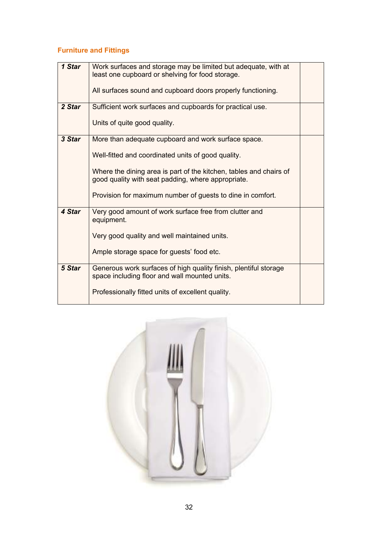# **Furniture and Fittings**

| 1 Star | Work surfaces and storage may be limited but adequate, with at<br>least one cupboard or shelving for food storage.       |  |
|--------|--------------------------------------------------------------------------------------------------------------------------|--|
|        | All surfaces sound and cupboard doors properly functioning.                                                              |  |
| 2 Star | Sufficient work surfaces and cupboards for practical use.                                                                |  |
|        | Units of quite good quality.                                                                                             |  |
| 3 Star | More than adequate cupboard and work surface space.                                                                      |  |
|        | Well-fitted and coordinated units of good quality.                                                                       |  |
|        | Where the dining area is part of the kitchen, tables and chairs of<br>good quality with seat padding, where appropriate. |  |
|        | Provision for maximum number of guests to dine in comfort.                                                               |  |
| 4 Star | Very good amount of work surface free from clutter and<br>equipment.                                                     |  |
|        | Very good quality and well maintained units.                                                                             |  |
|        | Ample storage space for guests' food etc.                                                                                |  |
| 5 Star | Generous work surfaces of high quality finish, plentiful storage<br>space including floor and wall mounted units.        |  |
|        | Professionally fitted units of excellent quality.                                                                        |  |

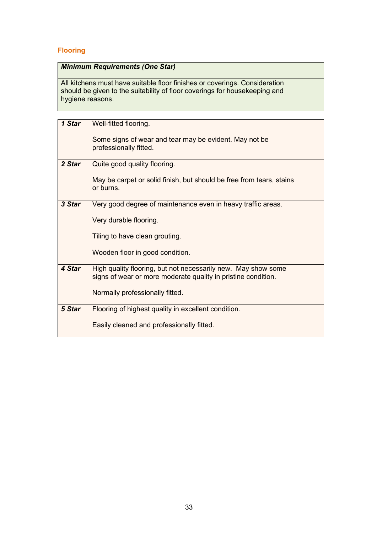### **Flooring**

### *Minimum Requirements (One Star)*

All kitchens must have suitable floor finishes or coverings. Consideration should be given to the suitability of floor coverings for housekeeping and hygiene reasons.

| 1 Star | Well-fitted flooring.                                                                                                          |  |
|--------|--------------------------------------------------------------------------------------------------------------------------------|--|
|        | Some signs of wear and tear may be evident. May not be<br>professionally fitted.                                               |  |
| 2 Star | Quite good quality flooring.                                                                                                   |  |
|        | May be carpet or solid finish, but should be free from tears, stains<br>or burns.                                              |  |
| 3 Star | Very good degree of maintenance even in heavy traffic areas.                                                                   |  |
|        | Very durable flooring.                                                                                                         |  |
|        | Tiling to have clean grouting.                                                                                                 |  |
|        | Wooden floor in good condition.                                                                                                |  |
| 4 Star | High quality flooring, but not necessarily new. May show some<br>signs of wear or more moderate quality in pristine condition. |  |
|        | Normally professionally fitted.                                                                                                |  |
| 5 Star | Flooring of highest quality in excellent condition.                                                                            |  |
|        | Easily cleaned and professionally fitted.                                                                                      |  |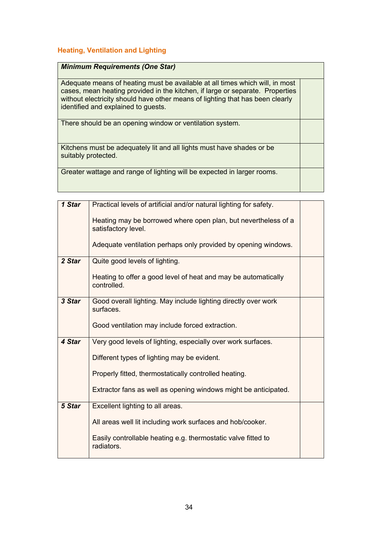#### **Heating, Ventilation and Lighting**

#### *Minimum Requirements (One Star)*

Adequate means of heating must be available at all times which will, in most cases, mean heating provided in the kitchen, if large or separate. Properties without electricity should have other means of lighting that has been clearly identified and explained to guests.

There should be an opening window or ventilation system.

Kitchens must be adequately lit and all lights must have shades or be suitably protected.

Greater wattage and range of lighting will be expected in larger rooms.

| 1 Star | Practical levels of artificial and/or natural lighting for safety.                    |  |
|--------|---------------------------------------------------------------------------------------|--|
|        | Heating may be borrowed where open plan, but nevertheless of a<br>satisfactory level. |  |
|        | Adequate ventilation perhaps only provided by opening windows.                        |  |
| 2 Star | Quite good levels of lighting.                                                        |  |
|        | Heating to offer a good level of heat and may be automatically<br>controlled.         |  |
| 3 Star | Good overall lighting. May include lighting directly over work<br>surfaces.           |  |
|        | Good ventilation may include forced extraction.                                       |  |
| 4 Star | Very good levels of lighting, especially over work surfaces.                          |  |
|        | Different types of lighting may be evident.                                           |  |
|        | Properly fitted, thermostatically controlled heating.                                 |  |
|        | Extractor fans as well as opening windows might be anticipated.                       |  |
| 5 Star | Excellent lighting to all areas.                                                      |  |
|        | All areas well lit including work surfaces and hob/cooker.                            |  |
|        | Easily controllable heating e.g. thermostatic valve fitted to<br>radiators.           |  |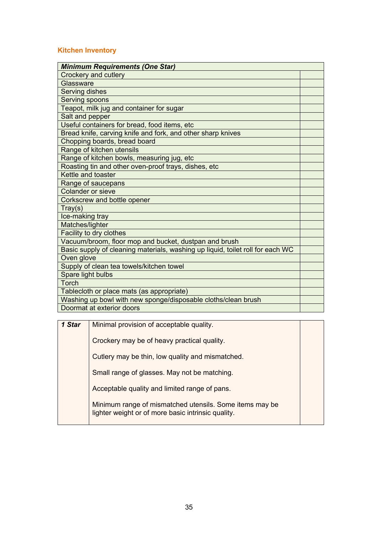#### **Kitchen Inventory**

| <b>Minimum Requirements (One Star)</b>                                         |  |
|--------------------------------------------------------------------------------|--|
| Crockery and cutlery                                                           |  |
| Glassware                                                                      |  |
| Serving dishes                                                                 |  |
| Serving spoons                                                                 |  |
| Teapot, milk jug and container for sugar                                       |  |
| Salt and pepper                                                                |  |
| Useful containers for bread, food items, etc                                   |  |
| Bread knife, carving knife and fork, and other sharp knives                    |  |
| Chopping boards, bread board                                                   |  |
| Range of kitchen utensils                                                      |  |
| Range of kitchen bowls, measuring jug, etc                                     |  |
| Roasting tin and other oven-proof trays, dishes, etc                           |  |
| Kettle and toaster                                                             |  |
| Range of saucepans                                                             |  |
| <b>Colander or sieve</b>                                                       |  |
| Corkscrew and bottle opener                                                    |  |
| Tray(s)                                                                        |  |
| Ice-making tray                                                                |  |
| Matches/lighter                                                                |  |
| Facility to dry clothes                                                        |  |
| Vacuum/broom, floor mop and bucket, dustpan and brush                          |  |
| Basic supply of cleaning materials, washing up liquid, toilet roll for each WC |  |
| Oven glove                                                                     |  |
| Supply of clean tea towels/kitchen towel                                       |  |
| Spare light bulbs                                                              |  |
| Torch                                                                          |  |
| Tablecloth or place mats (as appropriate)                                      |  |
| Washing up bowl with new sponge/disposable cloths/clean brush                  |  |
| Doormat at exterior doors                                                      |  |

| 1 Star | Minimal provision of acceptable quality.                                                                      |  |
|--------|---------------------------------------------------------------------------------------------------------------|--|
|        | Crockery may be of heavy practical quality.                                                                   |  |
|        | Cutlery may be thin, low quality and mismatched.                                                              |  |
|        | Small range of glasses. May not be matching.                                                                  |  |
|        | Acceptable quality and limited range of pans.                                                                 |  |
|        | Minimum range of mismatched utensils. Some items may be<br>lighter weight or of more basic intrinsic quality. |  |